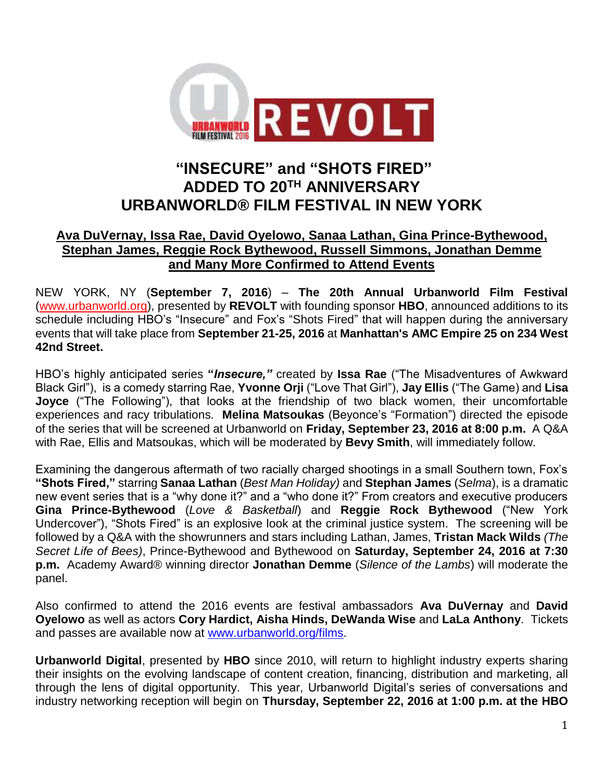

# **"INSECURE" and "SHOTS FIRED" ADDED TO 20TH ANNIVERSARY URBANWORLD® FILM FESTIVAL IN NEW YORK**

# **Ava DuVernay, Issa Rae, David Oyelowo, Sanaa Lathan, Gina Prince-Bythewood, Stephan James, Reggie Rock Bythewood, Russell Simmons, Jonathan Demme and Many More Confirmed to Attend Events**

NEW YORK, NY (**September 7, 2016**) – **The 20th Annual Urbanworld Film Festival** [\(www.urbanworld.org\)](http://www.urbanworld.org/), presented by **REVOLT** with founding sponsor **HBO**, announced additions to its schedule including HBO's "Insecure" and Fox's "Shots Fired" that will happen during the anniversary events that will take place from **September 21-25, 2016** at **Manhattan's AMC Empire 25 on 234 West 42nd Street.**

HBO's highly anticipated series **"***Insecure,"* created by **Issa Rae** ("The Misadventures of Awkward Black Girl"), is a comedy starring Rae, **Yvonne Orji** ("Love That Girl"), **Jay Ellis** ("The Game) and **Lisa Joyce** ("The Following"), that looks at the friendship of two black women, their uncomfortable experiences and racy tribulations. **Melina Matsoukas** (Beyonce's "Formation") directed the episode of the series that will be screened at Urbanworld on **Friday, September 23, 2016 at 8:00 p.m.** A Q&A with Rae, Ellis and Matsoukas, which will be moderated by **Bevy Smith**, will immediately follow.

Examining the dangerous aftermath of two racially charged shootings in a small Southern town, Fox's **"Shots Fired,"** starring **Sanaa Lathan** (*Best Man Holiday)* and **Stephan James** (*Selma*), is a dramatic new event series that is a "why done it?" and a "who done it?" From creators and executive producers **Gina Prince-Bythewood** (*Love & Basketball*) and **Reggie Rock Bythewood** ("New York Undercover"), "Shots Fired" is an explosive look at the criminal justice system. The screening will be followed by a Q&A with the showrunners and stars including Lathan, James, **Tristan Mack Wilds** *(The Secret Life of Bees)*, Prince-Bythewood and Bythewood on **Saturday, September 24, 2016 at 7:30 p.m.** Academy Award® winning director **Jonathan Demme** (*Silence of the Lambs*) will moderate the panel.

Also confirmed to attend the 2016 events are festival ambassadors **Ava DuVernay** and **David Oyelowo** as well as actors **Cory Hardict, Aisha Hinds, DeWanda Wise** and **LaLa Anthony**. Tickets and passes are available now at [www.urbanworld.org/films.](http://www.urbanworld.org/films)

**Urbanworld Digital**, presented by **HBO** since 2010, will return to highlight industry experts sharing their insights on the evolving landscape of content creation, financing, distribution and marketing, all through the lens of digital opportunity. This year, Urbanworld Digital's series of conversations and industry networking reception will begin on **Thursday, September 22, 2016 at 1:00 p.m. at the HBO**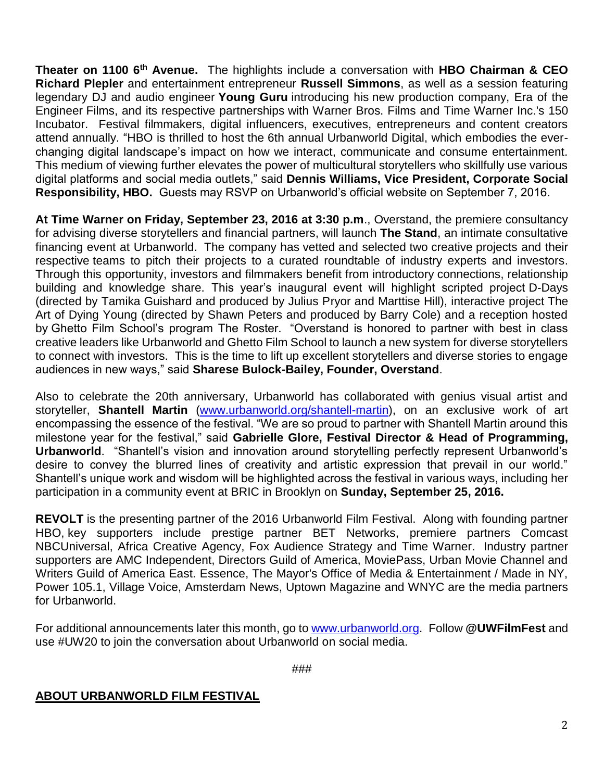**Theater on 1100 6th Avenue.** The highlights include a conversation with **HBO Chairman & CEO Richard Plepler** and entertainment entrepreneur **Russell Simmons**, as well as a session featuring legendary DJ and audio engineer **Young Guru** introducing his new production company, Era of the Engineer Films, and its respective partnerships with Warner Bros. Films and Time Warner Inc.'s 150 Incubator. Festival filmmakers, digital influencers, executives, entrepreneurs and content creators attend annually. "HBO is thrilled to host the 6th annual Urbanworld Digital, which embodies the everchanging digital landscape's impact on how we interact, communicate and consume entertainment. This medium of viewing further elevates the power of multicultural storytellers who skillfully use various digital platforms and social media outlets," said **Dennis Williams, Vice President, Corporate Social Responsibility, HBO.** Guests may RSVP on Urbanworld's official website on September 7, 2016.

**At Time Warner on Friday, September 23, 2016 at 3:30 p.m**., Overstand, the premiere consultancy for advising diverse storytellers and financial partners, will launch **The Stand**, an intimate consultative financing event at Urbanworld. The company has vetted and selected two creative projects and their respective teams to pitch their projects to a curated roundtable of industry experts and investors. Through this opportunity, investors and filmmakers benefit from introductory connections, relationship building and knowledge share. This year's inaugural event will highlight scripted project D-Days (directed by Tamika Guishard and produced by Julius Pryor and Marttise Hill), interactive project The Art of Dying Young (directed by Shawn Peters and produced by Barry Cole) and a reception hosted by Ghetto Film School's program The Roster. "Overstand is honored to partner with best in class creative leaders like Urbanworld and Ghetto Film School to launch a new system for diverse storytellers to connect with investors. This is the time to lift up excellent storytellers and diverse stories to engage audiences in new ways," said **Sharese Bulock-Bailey, Founder, Overstand**.

Also to celebrate the 20th anniversary, Urbanworld has collaborated with genius visual artist and storyteller, **Shantell Martin** [\(www.urbanworld.org/shantell-martin\)](http://www.urbanworld.org/shantell-martin), on an exclusive work of art encompassing the essence of the festival. "We are so proud to partner with Shantell Martin around this milestone year for the festival," said **Gabrielle Glore, Festival Director & Head of Programming, Urbanworld**. "Shantell's vision and innovation around storytelling perfectly represent Urbanworld's desire to convey the blurred lines of creativity and artistic expression that prevail in our world." Shantell's unique work and wisdom will be highlighted across the festival in various ways, including her participation in a community event at BRIC in Brooklyn on **Sunday, September 25, 2016.**

**REVOLT** is the presenting partner of the 2016 Urbanworld Film Festival. Along with founding partner HBO, key supporters include prestige partner BET Networks, premiere partners Comcast NBCUniversal, Africa Creative Agency, Fox Audience Strategy and Time Warner. Industry partner supporters are AMC Independent, Directors Guild of America, MoviePass, Urban Movie Channel and Writers Guild of America East. Essence, The Mayor's Office of Media & Entertainment / Made in NY, Power 105.1, Village Voice, Amsterdam News, Uptown Magazine and WNYC are the media partners for Urbanworld.

For additional announcements later this month, go to [www.urbanworld.org.](http://www.urbanworld.org/) Follow **@UWFilmFest** and use #UW20 to join the conversation about Urbanworld on social media.

###

#### **ABOUT URBANWORLD FILM FESTIVAL**